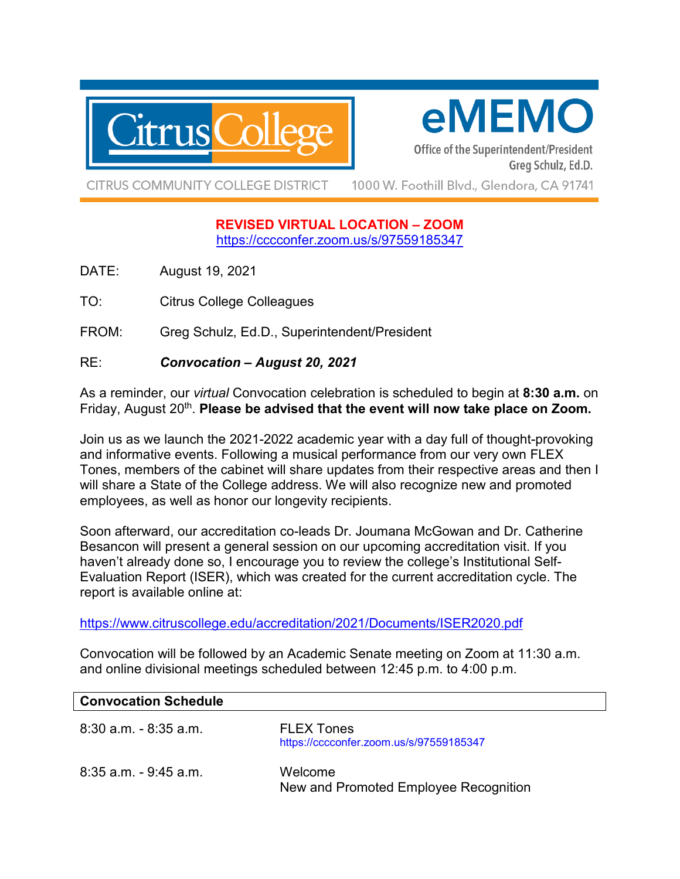

# eMEMO

Office of the Superintendent/President Greg Schulz, Ed.D.

**CITRUS COMMUNITY COLLEGE DISTRICT** 

1000 W. Foothill Blvd., Glendora, CA 91741

## **REVISED VIRTUAL LOCATION – ZOOM**  <https://cccconfer.zoom.us/s/97559185347>

DATE: August 19, 2021

TO: Citrus College Colleagues

FROM: Greg Schulz, Ed.D., Superintendent/President

## RE: *Convocation – August 20, 2021*

As a reminder, our *virtual* Convocation celebration is scheduled to begin at **8:30 a.m.** on Friday, August 20<sup>th</sup>. **Please be advised that the event will now take place on Zoom.** 

Join us as we launch the 2021-2022 academic year with a day full of thought-provoking and informative events. Following a musical performance from our very own FLEX Tones, members of the cabinet will share updates from their respective areas and then I will share a State of the College address. We will also recognize new and promoted employees, as well as honor our longevity recipients.

Soon afterward, our accreditation co-leads Dr. Joumana McGowan and Dr. Catherine Besancon will present a general session on our upcoming accreditation visit. If you haven't already done so, I encourage you to review the college's Institutional Self-Evaluation Report (ISER), which was created for the current accreditation cycle. The report is available online at:

<https://www.citruscollege.edu/accreditation/2021/Documents/ISER2020.pdf>

Convocation will be followed by an Academic Senate meeting on Zoom at 11:30 a.m. and online divisional meetings scheduled between 12:45 p.m. to 4:00 p.m.

| <b>Convocation Schedule</b> |                                                              |
|-----------------------------|--------------------------------------------------------------|
| 8:30 a.m. - 8:35 a.m.       | <b>FLEX Tones</b><br>https://cccconfer.zoom.us/s/97559185347 |
| 8:35 a.m. - 9:45 a.m.       | Welcome<br>New and Promoted Employee Recognition             |